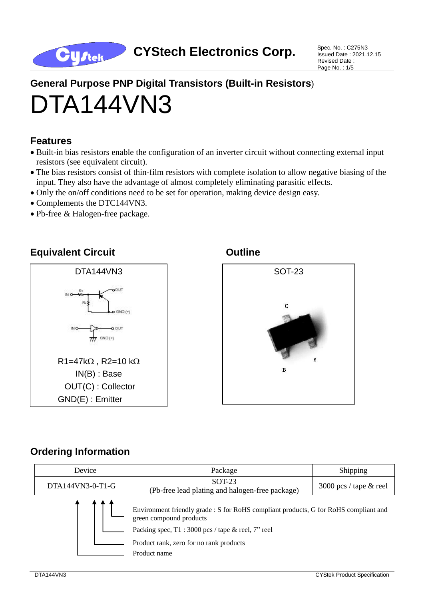

Issued Date : 2021.12.15 Revised Date : Page No. : 1/5

# **General Purpose PNP Digital Transistors (Built-in Resistors**) DTA144VN3

## **Features**

- Built-in bias resistors enable the configuration of an inverter circuit without connecting external input resistors (see equivalent circuit).
- The bias resistors consist of thin-film resistors with complete isolation to allow negative biasing of the input. They also have the advantage of almost completely eliminating parasitic effects.
- Only the on/off conditions need to be set for operation, making device design easy.
- Complements the DTC144VN3.
- Pb-free & Halogen-free package.

## **Equivalent Circuit Canadian Circuit Circuit Circuit Circuit Circuit Circuit Circuit Circuit Circuit Circuit**





## **Ordering Information**

| Device           | Package                                                                                                         | Shipping                 |  |  |
|------------------|-----------------------------------------------------------------------------------------------------------------|--------------------------|--|--|
| DTA144VN3-0-T1-G | $SOT-23$<br>(Pb-free lead plating and halogen-free package)                                                     | 3000 pcs / tape $&$ reel |  |  |
|                  | Environment friendly grade : S for RoHS compliant products, G for RoHS compliant and<br>green compound products |                          |  |  |
|                  | Packing spec, T1:3000 pcs / tape & reel, 7" reel                                                                |                          |  |  |
|                  | Product rank, zero for no rank products                                                                         |                          |  |  |
|                  | Product name                                                                                                    |                          |  |  |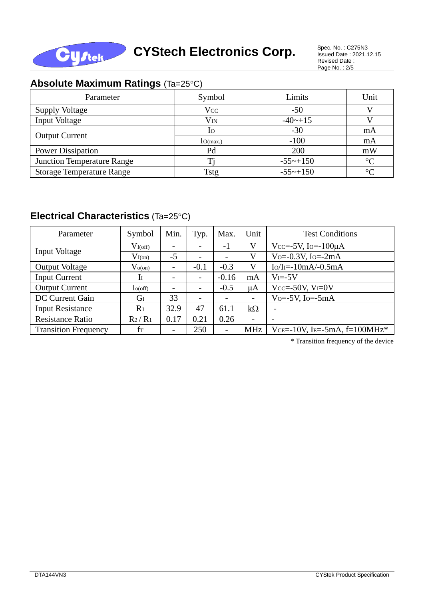

Issued Date : 2021.12.15 Revised Date : Page No. : 2/5

## **Absolute Maximum Ratings (Ta=25°C)**

| Parameter                         | Symbol          | Limits                 | Unit            |
|-----------------------------------|-----------------|------------------------|-----------------|
| <b>Supply Voltage</b>             | <b>Vcc</b>      | $-50$                  |                 |
| <b>Input Voltage</b>              | $\rm V_{IN}$    | $-40$ $-+15$           |                 |
|                                   | 10 <sup>o</sup> | $-30$                  | mA              |
| <b>Output Current</b>             | Io(max.)        | $-100$                 | mA              |
| <b>Power Dissipation</b>          | Pd              | 200                    | mW              |
| <b>Junction Temperature Range</b> |                 | $-55$ ~+150            | $\rm ^{\circ}C$ |
| <b>Storage Temperature Range</b>  | Tstg            | $-55 \rightarrow +150$ | $\circ$ C       |

## **Electrical Characteristics** (Ta=25°C)

| Parameter                   | Symbol         | Min.                     | Typ.                     | Max.                     | Unit                     | <b>Test Conditions</b>         |  |
|-----------------------------|----------------|--------------------------|--------------------------|--------------------------|--------------------------|--------------------------------|--|
| Input Voltage               | $V_{I(off)}$   | $\overline{\phantom{a}}$ |                          | $-1$                     | $\mathbf{V}$             | Vcc=-5V, Io=- $100\mu$ A       |  |
|                             | $V_{I(0n)}$    | $-5$                     |                          | $\qquad \qquad -$        | V                        | Vo= $-0.3V$ , Io= $-2mA$       |  |
| <b>Output Voltage</b>       | $V_{o(on)}$    | $\overline{\phantom{a}}$ | $-0.1$                   | $-0.3$                   | V                        | $Io/II = -10mA/ -0.5mA$        |  |
| <b>Input Current</b>        | $\mathbf{I}$   | $\overline{\phantom{a}}$ |                          | $-0.16$                  | mA                       | $V = -5V$                      |  |
| <b>Output Current</b>       | $I_{0(off)}$   | $\overline{\phantom{a}}$ |                          | $-0.5$                   | μA                       | Vcc=-50V, $V_I=0V$             |  |
| DC Current Gain             | G <sub>I</sub> | 33                       | $\overline{\phantom{a}}$ | -                        |                          | $Vo=-5V$ , $Io=-5mA$           |  |
| <b>Input Resistance</b>     | R <sub>1</sub> | 32.9                     | 47                       | 61.1                     | $k\Omega$                | $\overline{\phantom{a}}$       |  |
| <b>Resistance Ratio</b>     | $R_2/R_1$      | 0.17                     | 0.21                     | 0.26                     | $\overline{\phantom{0}}$ |                                |  |
| <b>Transition Frequency</b> | $f_T$          | $\overline{\phantom{0}}$ | 250                      | $\overline{\phantom{a}}$ | MHz                      | VCE=-10V, IE=-5mA, $f=100MHz*$ |  |

\* Transition frequency of the device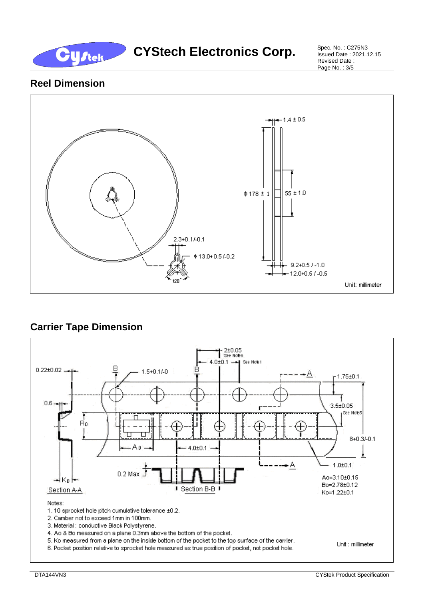

## CYStech Electronics Corp. Spec. No. : C275N3

Issued Date : 2021.12.15 Revised Date : Page No. : 3/5

## **Reel Dimension**



## **Carrier Tape Dimension**

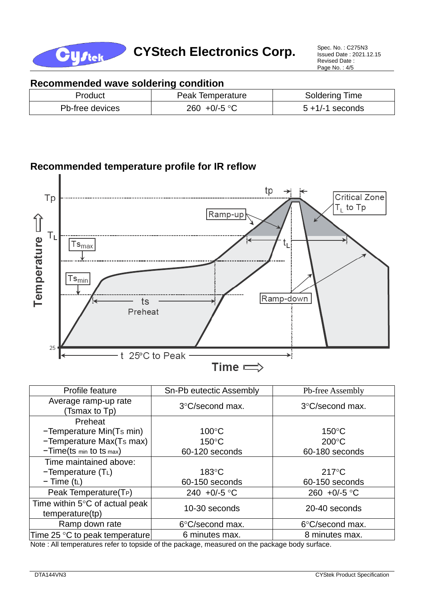

Issued Date : 2021.12.15 Revised Date : Page No. : 4/5

## **Recommended wave soldering condition**

| Product         | Peak Temperature      | <b>Soldering Time</b> |
|-----------------|-----------------------|-----------------------|
| Pb-free devices | 260 +0/-5 $\degree$ C | $5 + 1/-1$ seconds    |

## **Recommended temperature profile for IR reflow**



| Profile feature                                             | Sn-Pb eutectic Assembly | Pb-free Assembly      |  |  |
|-------------------------------------------------------------|-------------------------|-----------------------|--|--|
| Average ramp-up rate<br>(Tsmax to Tp)                       | 3°C/second max.         | 3°C/second max.       |  |  |
| Preheat                                                     |                         |                       |  |  |
| -Temperature Min(Ts min)                                    | $100^{\circ}$ C         | $150^{\circ}$ C       |  |  |
| -Temperature Max(Ts max)                                    | $150^{\circ}$ C         | $200^{\circ}$ C       |  |  |
| $-Time(ts \text{ min} to ts \text{ max})$                   | 60-120 seconds          | 60-180 seconds        |  |  |
| Time maintained above:                                      |                         |                       |  |  |
| $-Temperature(TL)$                                          | $183^{\circ}$ C         | $217^{\circ}$ C       |  |  |
| $-$ Time (t <sub>L</sub> )                                  | 60-150 seconds          | 60-150 seconds        |  |  |
| Peak Temperature(T <sub>P</sub> )                           | 240 +0/-5 $\degree$ C   | 260 +0/-5 $\degree$ C |  |  |
| Time within $5^{\circ}$ C of actual peak<br>temperature(tp) | 10-30 seconds           | 20-40 seconds         |  |  |
| Ramp down rate                                              | 6°C/second max.         | 6°C/second max.       |  |  |
| Time 25 °C to peak temperature                              | 6 minutes max.          | 8 minutes max.        |  |  |

Note : All temperatures refer to topside of the package, measured on the package body surface.